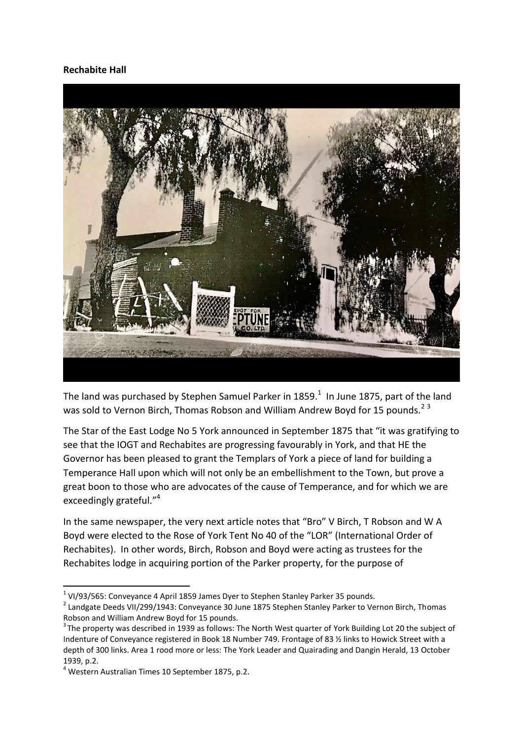## **Rechabite Hall**



The land was purchased by Stephen Samuel Parker in 1859. $^1$  In June 1875, part of the land was sold to Vernon Birch, Thomas Robson and William Andrew Boyd for 15 pounds.<sup>23</sup>

The Star of the East Lodge No 5 York announced in September 1875 that "it was gratifying to see that the IOGT and Rechabites are progressing favourably in York, and that HE the Governor has been pleased to grant the Templars of York a piece of land for building a Temperance Hall upon which will not only be an embellishment to the Town, but prove a great boon to those who are advocates of the cause of Temperance, and for which we are exceedingly grateful."<sup>4</sup>

In the same newspaper, the very next article notes that "Bro" V Birch, T Robson and W A Boyd were elected to the Rose of York Tent No 40 of the "LOR" (International Order of Rechabites). In other words, Birch, Robson and Boyd were acting as trustees for the Rechabites lodge in acquiring portion of the Parker property, for the purpose of

 1 VI/93/565: Conveyance 4 April 1859 James Dyer to Stephen Stanley Parker 35 pounds.

 $^{2}$  Landgate Deeds VII/299/1943: Conveyance 30 June 1875 Stephen Stanley Parker to Vernon Birch, Thomas Robson and William Andrew Boyd for 15 pounds.

 $3$ The property was described in 1939 as follows: The North West quarter of York Building Lot 20 the subject of Indenture of Conveyance registered in Book 18 Number 749. Frontage of 83 ½ links to Howick Street with a depth of 300 links. Area 1 rood more or less: The York Leader and Quairading and Dangin Herald, 13 October 1939, p.2.

<sup>4</sup> Western Australian Times 10 September 1875, p.2.